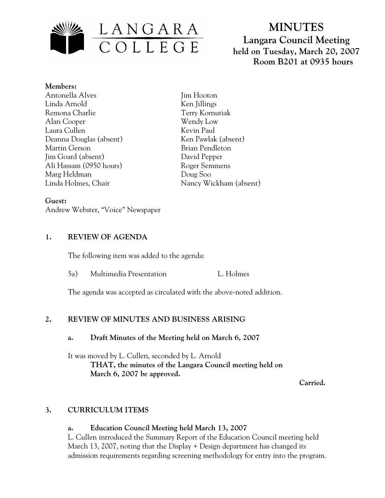

# **MINUTES Langara Council Meeting held on Tuesday, March 20, 2007 Room B201 at 0935 hours**

**Members:** Antonella Alves Linda Arnold Remona Charlie Alan Cooper Laura Cullen Deanna Douglas (absent) Martin Gerson Jim Goard (absent) Ali Hassam (0950 hours) Marg Heldman Linda Holmes, Chair

Jim Hooton Ken Jillings Terry Kornutiak Wendy Low Kevin Paul Ken Pawlak (absent) Brian Pendleton David Pepper Roger Semmens Doug Soo Nancy Wickham (absent)

#### **Guest:**

Andrew Webster, "Voice" Newspaper

### **1. REVIEW OF AGENDA**

The following item was added to the agenda:

5a) Multimedia Presentation L. Holmes

The agenda was accepted as circulated with the above-noted addition.

## **2. REVIEW OF MINUTES AND BUSINESS ARISING**

#### **a. Draft Minutes of the Meeting held on March 6, 2007**

It was moved by L. Cullen, seconded by L. Arnold  **THAT, the minutes of the Langara Council meeting held on March 6, 2007 be approved.** 

 **Carried.** 

## **3. CURRICULUM ITEMS**

#### **a. Education Council Meeting held March 13, 2007**

L. Cullen introduced the Summary Report of the Education Council meeting held March 13, 2007, noting that the Display + Design department has changed its admission requirements regarding screening methodology for entry into the program.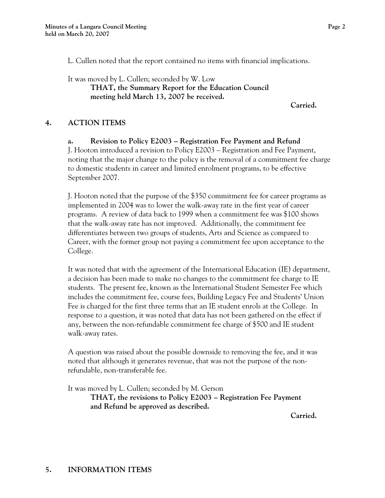L. Cullen noted that the report contained no items with financial implications.

It was moved by L. Cullen; seconded by W. Low **THAT, the Summary Report for the Education Council meeting held March 13, 2007 be received.** 

**Carried.** 

#### **4. ACTION ITEMS**

#### **a. Revision to Policy E2003 – Registration Fee Payment and Refund**

 J. Hooton introduced a revision to Policy E2003 – Registration and Fee Payment, noting that the major change to the policy is the removal of a commitment fee charge to domestic students in career and limited enrolment programs, to be effective September 2007.

 J. Hooton noted that the purpose of the \$350 commitment fee for career programs as implemented in 2004 was to lower the walk-away rate in the first year of career programs. A review of data back to 1999 when a commitment fee was \$100 shows that the walk-away rate has not improved. Additionally, the commitment fee differentiates between two groups of students, Arts and Science as compared to Career, with the former group not paying a commitment fee upon acceptance to the College.

 It was noted that with the agreement of the International Education (IE) department, a decision has been made to make no changes to the commitment fee charge to IE students. The present fee, known as the International Student Semester Fee which includes the commitment fee, course fees, Building Legacy Fee and Students' Union Fee is charged for the first three terms that an IE student enrols at the College. In response to a question, it was noted that data has not been gathered on the effect if any, between the non-refundable commitment fee charge of \$500 and IE student walk-away rates.

 A question was raised about the possible downside to removing the fee, and it was noted that although it generates revenue, that was not the purpose of the nonrefundable, non-transferable fee.

It was moved by L. Cullen; seconded by M. Gerson

**THAT, the revisions to Policy E2003 – Registration Fee Payment and Refund be approved as described.** 

**Carried.**